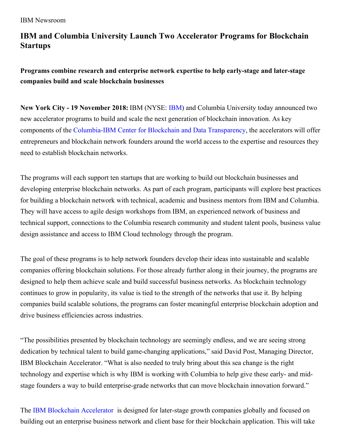## **IBM and Columbia University Launch Two Accelerator Programs for Blockchain Startups**

## **Programs combine research and enterprise network expertise to help early-stage and later-stage companies build and scale blockchain businesses**

**New York City - 19 November 2018:** IBM (NYSE: [IBM](http://www.ibm.com/investor)) and Columbia University today announced two new accelerator programs to build and scale the next generation of blockchain innovation. As key components of the [Columbia-IBM](https://newsroom.ibm.com/2018-07-17-Columbia-University-and-IBM-Establish-New-Center-to-Accelerate-Innovation-in-Blockchain-and-Data-Transparency) Center for Blockchain and Data Transparency, the accelerators will offer entrepreneurs and blockchain network founders around the world access to the expertise and resources they need to establish blockchain networks.

The programs will each support ten startups that are working to build out blockchain businesses and developing enterprise blockchain networks. As part of each program, participants will explore best practices for building a blockchain network with technical, academic and business mentors from IBM and Columbia. They will have access to agile design workshops from IBM, an experienced network of business and technical support, connections to the Columbia research community and student talent pools, business value design assistance and access to IBM Cloud technology through the program.

The goal of these programs is to help network founders develop their ideas into sustainable and scalable companies offering blockchain solutions. For those already further along in their journey, the programs are designed to help them achieve scale and build successful business networks. As blockchain technology continues to grow in popularity, its value is tied to the strength of the networks that use it. By helping companies build scalable solutions, the programs can foster meaningful enterprise blockchain adoption and drive business efficiencies across industries.

"The possibilities presented by blockchain technology are seemingly endless, and we are seeing strong dedication by technical talent to build game-changing applications," said David Post, Managing Director, IBM Blockchain Accelerator. "What is also needed to truly bring about this sea change is the right technology and expertise which is why IBM is working with Columbia to help give these early- and midstage founders a way to build enterprise-grade networks that can move blockchain innovation forward."

The IBM Blockchain [Accelerator](http://ibmblockchainaccelerator.com/network/) is designed for later-stage growth companies globally and focused on building out an enterprise business network and client base for their blockchain application. This will take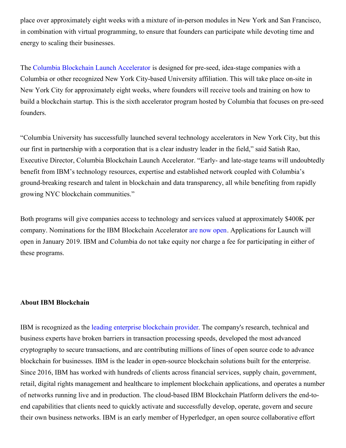place over approximately eight weeks with a mixture of in-person modules in New York and San Francisco, in combination with virtual programming, to ensure that founders can participate while devoting time and energy to scaling their businesses.

The Columbia Blockchain Launch [Accelerator](http://ibmblockchainaccelerator.com/launch/) is designed for pre-seed, idea-stage companies with a Columbia or other recognized New York City-based University affiliation. This will take place on-site in New York City for approximately eight weeks, where founders will receive tools and training on how to build a blockchain startup. This is the sixth accelerator program hosted by Columbia that focuses on pre-seed founders.

"Columbia University has successfully launched several technology accelerators in New York City, but this our first in partnership with a corporation that is a clear industry leader in the field," said Satish Rao, Executive Director, Columbia Blockchain Launch Accelerator. "Early- and late-stage teams will undoubtedly benefit from IBM's technology resources, expertise and established network coupled with Columbia's ground-breaking research and talent in blockchain and data transparency, all while benefiting from rapidly growing NYC blockchain communities."

Both programs will give companies access to technology and services valued at approximately \$400K per company. Nominations for the IBM Blockchain Accelerator are now [open](https://www.f6s.com/ibmblockchainnomination/apply). Applications for Launch will open in January 2019. IBM and Columbia do not take equity nor charge a fee for participating in either of these programs.

## **About IBM Blockchain**

IBM is recognized as the leading enterprise [blockchain](https://www.juniperresearch.com/press/press-releases/future-digital-award-winners-announced-for-fintech) provider. The company's research, technical and business experts have broken barriers in transaction processing speeds, developed the most advanced cryptography to secure transactions, and are contributing millions of lines of open source code to advance blockchain for businesses. IBM is the leader in open-source blockchain solutions built for the enterprise. Since 2016, IBM has worked with hundreds of clients across financial services, supply chain, government, retail, digital rights management and healthcare to implement blockchain applications, and operates a number of networks running live and in production. The cloud-based IBM Blockchain Platform delivers the end-toend capabilities that clients need to quickly activate and successfully develop, operate, govern and secure their own business networks. IBM is an early member of Hyperledger, an open source collaborative effort